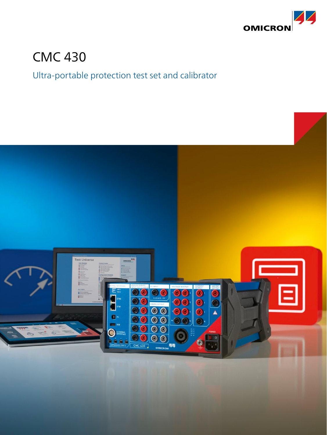

# CMC 430

## Ultra-portable protection test set and calibrator

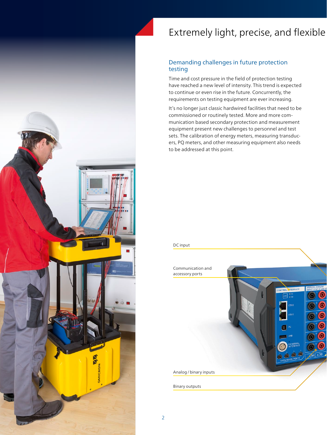

## Extremely light, precise, and flexible

### Demanding challenges in future protection testing

Time and cost pressure in the field of protection testing have reached a new level of intensity. This trend is expected to continue or even rise in the future. Concurrently, the requirements on testing equipment are ever increasing.

It's no longer just classic hardwired facilities that need to be commissioned or routinely tested. More and more communication based secondary protection and measurement equipment present new challenges to personnel and test sets. The calibration of energy meters, measuring transducers, PQ meters, and other measuring equipment also needs to be addressed at this point.

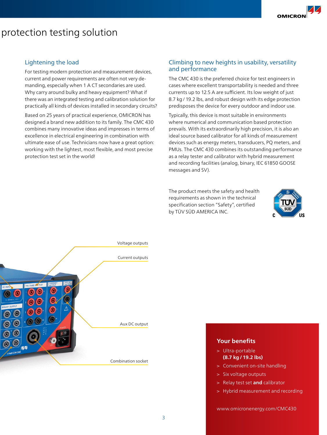### protection testing solution

### Lightening the load

For testing modern protection and measurement devices, current and power requirements are often not very demanding, especially when 1 A CT secondaries are used. Why carry around bulky and heavy equipment? What if there was an integrated testing and calibration solution for practically all kinds of devices installed in secondary circuits?

Based on 25 years of practical experience, OMICRON has designed a brand new addition to its family. The CMC 430 combines many innovative ideas and impresses in terms of excellence in electrical engineering in combination with ultimate ease of use. Technicians now have a great option: working with the lightest, most flexible, and most precise protection test set in the world!

### Climbing to new heights in usability, versatility and performance

The CMC 430 is the preferred choice for test engineers in cases where excellent transportability is needed and three currents up to 12.5 A are sufficient. Its low weight of just 8.7 kg/19.2 lbs, and robust design with its edge protection predisposes the device for every outdoor and indoor use.

Typically, this device is most suitable in environments where numerical and communication based protection prevails. With its extraordinarily high precision, it is also an ideal source based calibrator for all kinds of measurement devices such as energy meters, transducers, PQ meters, and PMUs. The CMC 430 combines its outstanding performance as a relay tester and calibrator with hybrid measurement and recording facilities (analog, binary, IEC 61850 GOOSE messages and SV).

The product meets the safety and health requirements as shown in the technical specification section "Safety", certified by TÜV SÜD AMERICA INC.





### **Your benefits**

- > Ultra-portable **(8.7 kg/19.2 lbs)**
- > Convenient on-site handling
- > Six voltage outputs
- > Relay test set **and** calibrator
- > Hybrid measurement and recording

[www.omicronenergy.com/](www.omicron.at/CMC)CMC430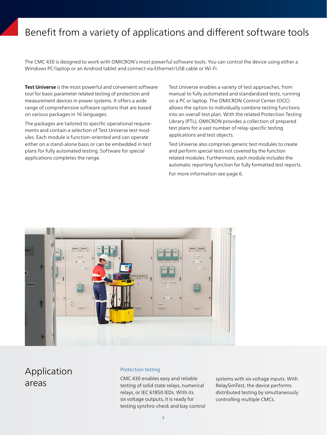## Benefit from a variety of applications and different software tools

The CMC 430 is designed to work with OMICRON's most powerful software tools. You can control the device using either a Windows PC/laptop or an Android tablet and connect via Ethernet/USB cable or Wi-Fi.

**Test Universe** is the most powerful and convenient software tool for basic parameter related testing of protection and measurement devices in power systems. It offers a wide range of comprehensive software options that are based on various packages in 16 languages.

The packages are tailored to specific operational requirements and contain a selection of Test Universe test modules. Each module is function-oriented and can operate either on a stand-alone basis or can be embedded in test plans for fully automated testing. Software for special applications completes the range.

Test Universe enables a variety of test approaches, from manual to fully automated and standardized tests, running on a PC or laptop. The OMICRON Control Center (OCC) allows the option to individually combine testing functions into an overall test plan. With the related Protection Testing Library (PTL), OMICRON provides a collection of prepared test plans for a vast number of relay-specific testing applications and test objects.

Test Universe also comprises generic test modules to create and perform special tests not covered by the function related modules. Furthermore, each module includes the automatic reporting function for fully formatted test reports.

For more information see page 6.



Application

### Protection testing

CMC 430 enables easy and reliable CMC 430 enables easy and reliable systems with six voltage inputs. With<br>areas systems with six voltage inputs. With<br>testing of solid state relays, numerical RelaySimTest, the device performs relays, or IEC 61850 IEDs. With its six voltage outputs, it is ready for testing synchro-check and bay control

RelaySimTest, the device performs distributed testing by simultaneously controlling multiple CMCs.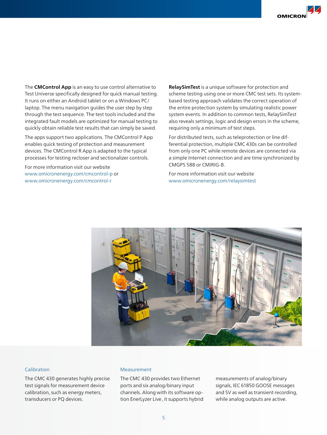The **CMControl App** is an easy to use control alternative to Test Universe specifically designed for quick manual testing. It runs on either an Android tablet or on a Windows PC/ laptop. The menu navigation guides the user step by step through the test sequence. The test tools included and the integrated fault models are optimized for manual testing to quickly obtain reliable test results that can simply be saved.

The apps support two applications. The CMControl P App enables quick testing of protection and measurement devices. The CMControl R App is adapted to the typical processes for testing recloser and sectionalizer controls.

For more information visit our website www.omicronenergy.com/cmcontrol-p or www.omicronenergy.com/cmcontrol-r

**RelaySimTest** is a unique software for protection and scheme testing using one or more CMC test sets. Its systembased testing approach validates the correct operation of the entire protection system by simulating realistic power system events. In addition to common tests, RelaySimTest also reveals settings, logic and design errors in the scheme, requiring only a minimum of test steps.

For distributed tests, such as teleprotection or line differential protection, multiple CMC 430s can be controlled from only one PC while remote devices are connected via a simple Internet connection and are time synchronized by CMGPS 588 or CMIRIG-B.

For more information visit our website www.omicronenergy.com/relaysimtest



#### Calibration

The CMC 430 generates highly precise test signals for measurement device calibration, such as energy meters, transducers or PQ devices.

#### Measurement

The CMC 430 provides two Ethernet ports and six analog/binary input channels. Along with its software option EnerLyzer Live, it supports hybrid measurements of analog/binary signals, IEC 61850 GOOSE messages and SV as well as transient recording, while analog outputs are active.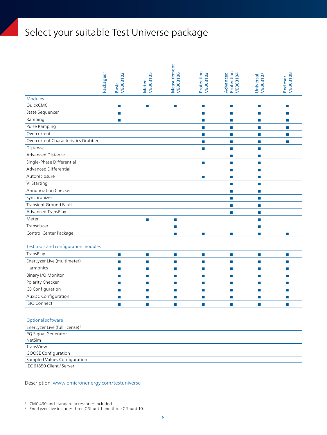# Select your suitable Test Universe package

|                                                 | Packages <sup>1</sup> | Basic<br>VE003102 | <b>VE003105</b><br><b>Meter</b> | Measurement<br>VE003106     | Protection<br>VE003103      | Protection<br>VE003104<br>Advanced | Universal<br>VE003107 | Recloser<br>VE003108 |
|-------------------------------------------------|-----------------------|-------------------|---------------------------------|-----------------------------|-----------------------------|------------------------------------|-----------------------|----------------------|
| <b>Modules</b>                                  |                       |                   |                                 |                             |                             |                                    |                       |                      |
| QuickCMC                                        |                       | u                 | $\mathcal{L}_{\mathcal{A}}$     | $\mathcal{L}_{\mathcal{A}}$ | $\mathcal{L}_{\mathcal{A}}$ | $\Box$                             | L.                    | L.                   |
| State Sequencer                                 |                       | П                 |                                 |                             | m.                          | ш                                  | П                     | П                    |
| Ramping                                         |                       | П                 |                                 |                             | $\mathcal{L}_{\mathcal{A}}$ | П                                  | П                     | П                    |
| Pulse Ramping                                   |                       |                   |                                 |                             | $\mathcal{L}_{\mathcal{A}}$ | П                                  | П                     | П                    |
| Overcurrent                                     |                       |                   |                                 |                             | $\mathcal{L}_{\mathcal{A}}$ | П                                  | П                     | П                    |
| Overcurrent Characteristics Grabber             |                       |                   |                                 |                             | П                           | П                                  | П                     | П                    |
| Distance                                        |                       |                   |                                 |                             | П                           | П                                  | L.                    |                      |
| <b>Advanced Distance</b>                        |                       |                   |                                 |                             |                             | П                                  | T.                    |                      |
| Single-Phase Differential                       |                       |                   |                                 |                             | $\mathbb{R}^n$              | T.                                 | П                     |                      |
| Advanced Differential                           |                       |                   |                                 |                             |                             | П                                  | П                     |                      |
| Autoreclosure                                   |                       |                   |                                 |                             | $\mathcal{L}_{\mathcal{A}}$ | П                                  | П                     |                      |
| VI Starting                                     |                       |                   |                                 |                             |                             | п                                  | П                     |                      |
| <b>Annunciation Checker</b>                     |                       |                   |                                 |                             |                             | П                                  | П                     |                      |
| Synchronizer                                    |                       |                   |                                 |                             |                             | <b>COL</b>                         | п                     |                      |
| <b>Transient Ground Fault</b>                   |                       |                   |                                 |                             |                             | П                                  | П                     |                      |
| Advanced TransPlay                              |                       |                   |                                 |                             |                             | П                                  | П                     |                      |
| Meter                                           |                       |                   | T.                              | $\mathcal{L}_{\mathcal{A}}$ |                             |                                    | П                     |                      |
| Transducer                                      |                       |                   |                                 | T.                          |                             |                                    | П                     |                      |
| Control Center Package                          |                       |                   |                                 | $\mathcal{L}_{\mathcal{A}}$ | T.                          | П                                  | П                     | П                    |
|                                                 |                       |                   |                                 |                             |                             |                                    |                       |                      |
| Test tools and configuration modules            |                       |                   |                                 |                             |                             |                                    |                       |                      |
| TransPlay                                       |                       | Ħ                 | T.                              | $\mathcal{L}_{\mathcal{A}}$ | T.                          | П                                  | T.                    | T.                   |
| EnerLyzer Live (multimeter)                     |                       | П                 | n.                              | T.                          | $\mathcal{L}_{\mathcal{A}}$ | П                                  | П                     | П                    |
| Harmonics                                       |                       | П                 | П                               | T.                          | п                           | П                                  | П                     | П                    |
| Binary I/O Monitor                              |                       | П                 | П                               | П                           | П                           | П                                  | П                     | П                    |
| Polarity Checker                                |                       | П                 | П                               | T.                          | п                           | П                                  | П                     | П                    |
| CB Configuration                                |                       | П                 | П                               | П                           | п                           | П                                  | D.                    | ш                    |
| AuxDC Configuration                             |                       | П                 | П                               | $\overline{\phantom{a}}$    | П                           | П                                  | п                     | П                    |
| <b>ISIO Connect</b>                             |                       | П                 | П                               | п                           | П                           | П                                  | П                     | П                    |
| Optional software                               |                       |                   |                                 |                             |                             |                                    |                       |                      |
| EnerLyzer Live (full license) <sup>2</sup>      |                       |                   |                                 |                             |                             |                                    |                       |                      |
| PQ Signal Generator                             |                       |                   |                                 |                             |                             |                                    |                       |                      |
| NetSim                                          |                       |                   |                                 |                             |                             |                                    |                       |                      |
| TransView                                       |                       |                   |                                 |                             |                             |                                    |                       |                      |
| <b>GOOSE Configuration</b>                      |                       |                   |                                 |                             |                             |                                    |                       |                      |
| Sampled Values Configuration                    |                       |                   |                                 |                             |                             |                                    |                       |                      |
| IEC 61850 Client / Server                       |                       |                   |                                 |                             |                             |                                    |                       |                      |
| Description: www.omicronenergy.com/testuniverse |                       |                   |                                 |                             |                             |                                    |                       |                      |

<sup>1</sup> CMC 430 and standard accessories included

<sup>&</sup>lt;sup>2</sup> EnerLyzer Live includes three C-Shunt 1 and three C-Shunt 10.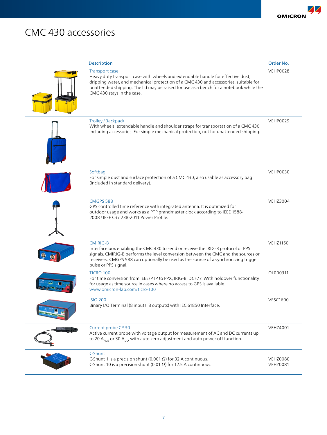# CMC 430 accessories

| Description                                                                                                                                                                                                                                                                                                              | Order No.                   |
|--------------------------------------------------------------------------------------------------------------------------------------------------------------------------------------------------------------------------------------------------------------------------------------------------------------------------|-----------------------------|
| <b>Transport case</b><br>Heavy duty transport case with wheels and extendable handle for effective dust,<br>dripping water, and mechanical protection of a CMC 430 and accessories, suitable for<br>unattended shipping. The lid may be raised for use as a bench for a notebook while the<br>CMC 430 stays in the case. | VEHP0028                    |
| Trolley / Backpack<br>With wheels, extendable handle and shoulder straps for transportation of a CMC 430<br>including accessories. For simple mechanical protection, not for unattended shipping.                                                                                                                        | VEHP0029                    |
| Softbag<br>For simple dust and surface protection of a CMC 430, also usable as accessory bag<br>(included in standard delivery).                                                                                                                                                                                         | VEHP0030                    |
| <b>CMGPS 588</b><br>GPS controlled time reference with integrated antenna. It is optimized for<br>outdoor usage and works as a PTP grandmaster clock according to IEEE 1588-<br>2008 / IEEE C37.238-2011 Power Profile.                                                                                                  | <b>VEHZ3004</b>             |
| <b>CMIRIG-B</b><br>Interface box enabling the CMC 430 to send or receive the IRIG-B protocol or PPS<br>signals. CMIRIG-B performs the level conversion between the CMC and the sources or<br>receivers. CMGPS 588 can optionally be used as the source of a synchronizing trigger<br>pulse or PPS signal.                | <b>VEHZ1150</b>             |
| <b>TICRO 100</b><br>For time conversion from IEEE/PTP to PPX, IRIG-B, DCF77. With holdover functionality<br>for usage as time source in cases where no access to GPS is available.<br>www.omicron-lab.com/ticro-100                                                                                                      | OL000311                    |
| <b>ISIO 200</b><br>Binary I/O Terminal (8 inputs, 8 outputs) with IEC 61850 Interface.                                                                                                                                                                                                                                   | <b>VESC1600</b>             |
| Current probe CP 30<br>Active current probe with voltage output for measurement of AC and DC currents up<br>to 20 $A_{RMS}$ or 30 $A_{DC}$ , with auto zero adjustment and auto power off function.                                                                                                                      | <b>VEHZ4001</b>             |
| C-Shunt<br>C-Shunt 1 is a precision shunt (0.001 $\Omega$ ) for 32 A continuous.<br>C-Shunt 10 is a precision shunt (0.01 $\Omega$ ) for 12.5 A continuous.                                                                                                                                                              | VEHZ0080<br><b>VEHZ0081</b> |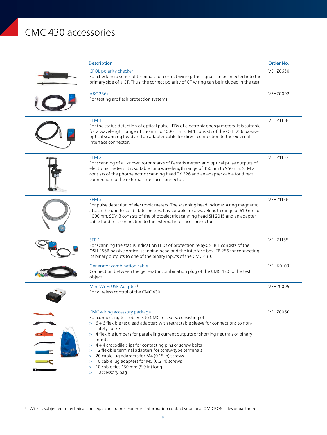# CMC 430 accessories

| <b>Description</b>                                                                                                                                                                                                                                                                                                                                                                                                                                                                                                                                                                                      | Order No.       |
|---------------------------------------------------------------------------------------------------------------------------------------------------------------------------------------------------------------------------------------------------------------------------------------------------------------------------------------------------------------------------------------------------------------------------------------------------------------------------------------------------------------------------------------------------------------------------------------------------------|-----------------|
| CPOL polarity checker<br>For checking a series of terminals for correct wiring. The signal can be injected into the<br>primary side of a CT. Thus, the correct polarity of CT wiring can be included in the test.                                                                                                                                                                                                                                                                                                                                                                                       | <b>VEHZ0650</b> |
| <b>ARC 256x</b><br>For testing arc flash protection systems.                                                                                                                                                                                                                                                                                                                                                                                                                                                                                                                                            | <b>VEHZ0092</b> |
| SEM <sub>1</sub><br>For the status detection of optical pulse LEDs of electronic energy meters. It is suitable<br>for a wavelength range of 550 nm to 1000 nm. SEM 1 consists of the OSH 256 passive<br>optical scanning head and an adapter cable for direct connection to the external<br>interface connector.                                                                                                                                                                                                                                                                                        | <b>VEHZ1158</b> |
| SEM <sub>2</sub><br>For scanning of all known rotor marks of Ferraris meters and optical pulse outputs of<br>electronic meters. It is suitable for a wavelength range of 450 nm to 950 nm. SEM 2<br>consists of the photoelectric scanning head TK 326 and an adapter cable for direct<br>connection to the external interface connector.                                                                                                                                                                                                                                                               | <b>VEHZ1157</b> |
| SEM <sub>3</sub><br>For pulse detection of electronic meters. The scanning head includes a ring magnet to<br>attach the unit to solid-state-meters. It is suitable for a wavelength range of 610 nm to<br>1000 nm. SEM 3 consists of the photoelectric scanning head SH 2015 and an adapter<br>cable for direct connection to the external interface connector.                                                                                                                                                                                                                                         | <b>VEHZ1156</b> |
| SER <sub>1</sub><br>For scanning the status indication LEDs of protection relays. SER 1 consists of the<br>OSH 256R passive optical scanning head and the interface box IFB 256 for connecting<br>its binary outputs to one of the binary inputs of the CMC 430.                                                                                                                                                                                                                                                                                                                                        | <b>VEHZ1155</b> |
| Generator combination cable<br>Connection between the generator combination plug of the CMC 430 to the test<br>object.                                                                                                                                                                                                                                                                                                                                                                                                                                                                                  | <b>VEHK0103</b> |
| Mini Wi-Fi USB Adapter <sup>1</sup><br>For wireless control of the CMC 430.                                                                                                                                                                                                                                                                                                                                                                                                                                                                                                                             | <b>VEHZ0095</b> |
| CMC wiring accessory package<br>For connecting test objects to CMC test sets, consisting of:<br>> 6 + 6 flexible test lead adapters with retractable sleeve for connections to non-<br>safety sockets<br>> 4 flexible jumpers for paralleling current outputs or shorting neutrals of binary<br>inputs<br>> 4 + 4 crocodile clips for contacting pins or screw bolts<br>12 flexible terminal adapters for screw-type terminals<br>20 cable lug adapters for M4 (0.15 in) screws<br>$\geq$<br>10 cable lug adapters for M5 (0.2 in) screws<br>><br>10 cable ties 150 mm (5.9 in) long<br>1 accessory bag | <b>VEHZ0060</b> |

<sup>1</sup> Wi-Fi is subjected to technical and legal constraints. For more information contact your local OMICRON sales department.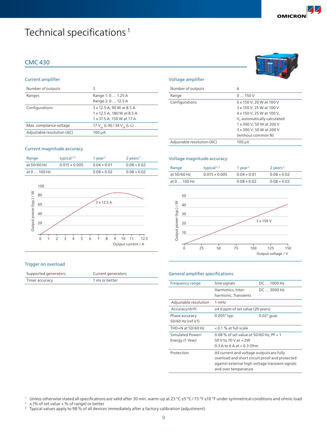# Technical specifications<sup>1</sup>

### CMC 430

#### Current amplifier

| Number of outputs          | Β                                                                                    |
|----------------------------|--------------------------------------------------------------------------------------|
| Ranges                     | Range 1: 0  1.25 A<br>Range 2: 0  12.5 A                                             |
| Configurations             | 3 x 12.5 A; 90 W at 8.5 A<br>1 x 12.5 A; 180 W at 8.5 A<br>1 x 37.5 A; 150 W at 17 A |
| Max. compliance voltage    | 17 $V_{\rm pk}$ (L-N) / 34 $V_{\rm pk}$ (L-L)                                        |
| Adjustable resolution (AC) | 100 µA                                                                               |

#### Current magnitude accuracy

| Range        | typical <sup>2,3</sup> | 1 year <sup>2</sup> | $2$ years <sup>2</sup> |
|--------------|------------------------|---------------------|------------------------|
| at 50/60 Hz  | $0.015 + 0.005$        | $0.04 + 0.01$       | $0.08 + 0.02$          |
| at 0  100 Hz |                        | $0.08 + 0.02$       | $0.08 + 0.02$          |



#### Trigger on overload

| Supported generators | Current generators |
|----------------------|--------------------|
| Timer accuracy       | 1 ms or better     |

#### Voltage amplifier

| Number of outputs          | 6                                                                                                                                                  |
|----------------------------|----------------------------------------------------------------------------------------------------------------------------------------------------|
| Range                      | 0150V                                                                                                                                              |
| Configurations             | 6 x 150 V; 20 W at 100 V<br>3 x 150 V; 25 W at 100 V                                                                                               |
|                            | 4 x 150 V; 25 W at 100 V,<br>V <sub>E</sub> automatically calculated<br>1 x 300 V; 50 W at 200 V<br>3 x 300 V; 50 W at 200 V<br>(without common N) |
| Adjustable resolution (AC) | $100 \mu V$                                                                                                                                        |

#### Voltage magnitude accuracy

| Range        | typical <sup>2,3</sup> | 1 vear <sup>2</sup> | $2$ years <sup>2</sup> |
|--------------|------------------------|---------------------|------------------------|
| at 50/60 Hz  | $0.015 + 0.005$        | $0.04 + 0.01$       | $0.08 + 0.02$          |
| at 0  100 Hz |                        | $0.08 + 0.02$       | $0.08 + 0.02$          |



#### General amplifier specifications

| <b>Frequency range</b> | Sine signals                                    | DC  1000 Hz        |
|------------------------|-------------------------------------------------|--------------------|
|                        | Harmonics, Inter-                               | $DC \dots 3000$ Hz |
|                        | harmonic, Transients                            |                    |
| Adjustable resolution  | 1 mHz                                           |                    |
| Accuracy/drift         | $\pm$ 4.6 ppm of set value (20 years)           |                    |
| Phase accuracy         | $0.005^\circ$ typ.                              | $0.02^\circ$ guar. |
| 50/60 Hz (ref V1)      |                                                 |                    |
| THD+N at 50/60 Hz      | $< 0.1$ % at full scale                         |                    |
| Simulated Power/       | 0.08 % of set value at 50/60 Hz; PF = 1         |                    |
| Energy (1 Year)        | 50 V to 70 V at $<$ 2W                          |                    |
|                        | $0.3$ A to 6 A at $< 0.3$ Ohm                   |                    |
| Protection             | All current and voltage outputs are fully       |                    |
|                        | overload and short circuit proof and protected  |                    |
|                        | against external high-voltage transient signals |                    |
|                        | and over temperature                            |                    |

<sup>1</sup> Unless otherwise stated all specifications are valid after 30 min. warm-up at 23 °C ±5 °C/73 °F ±10 °F under symmetrical conditions and ohmic load<br><sup>2</sup> + (% of set value + % of range) or better

 $\pm$  (% of set value + % of range) or better

<sup>3</sup> Typical values apply to 98 % of all devices immediately after a factory calibration (adjustment)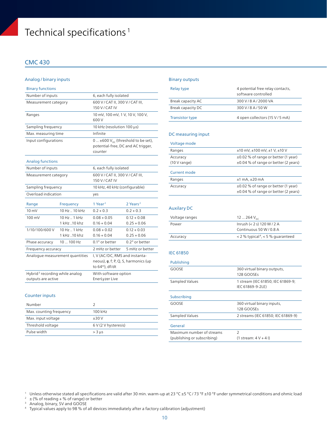# Technical specifications<sup>1</sup>

### CMC 430

#### Analog/binary inputs

| <b>Binary functions</b>                                          |                                         |                                                                                                    |                                |  |
|------------------------------------------------------------------|-----------------------------------------|----------------------------------------------------------------------------------------------------|--------------------------------|--|
| Number of inputs                                                 |                                         | 6, each fully isolated                                                                             |                                |  |
| Measurement category                                             |                                         | 600 V / CAT II, 300 V / CAT III,<br>150 V / CAT IV                                                 |                                |  |
| Ranges                                                           |                                         | 10 mV, 100 mV, 1 V, 10 V, 100 V,<br>600 V                                                          |                                |  |
| Sampling frequency                                               |                                         | 10 kHz (resolution 100 µs)                                                                         |                                |  |
| Max. measuring time                                              |                                         | Infinite                                                                                           |                                |  |
| Input configurations                                             |                                         | $0  \pm 600 V_{DC}$ (threshold to be set),<br>potential-free, DC and AC trigger,<br>counter        |                                |  |
| <b>Analog functions</b>                                          |                                         |                                                                                                    |                                |  |
| Number of inputs                                                 |                                         | 6, each fully isolated                                                                             |                                |  |
| Measurement category                                             |                                         | 600 V / CAT II, 300 V / CAT III,<br>150 V / CAT IV                                                 |                                |  |
| Sampling frequency                                               |                                         | 10 kHz, 40 kHz (configurable)                                                                      |                                |  |
| Overload indication                                              |                                         | yes                                                                                                |                                |  |
| Range                                                            | Frequency                               | 1 Year <sup>2</sup>                                                                                | 2 Years <sup>2</sup>           |  |
| $10 \text{ mV}$                                                  | 10 Hz  10 kHz                           | $0.2 + 0.3$                                                                                        | $0.2 + 0.3$                    |  |
| 100 mV                                                           | $10$ Hz $\ldots$ 1 kHz<br>1 kHz  10 khz | $0.08 + 0.05$<br>$0.16 + 0.04$                                                                     | $0.12 + 0.08$<br>$0.25 + 0.06$ |  |
| 1/10/100/600 V                                                   | 10 Hz 1 kHz<br>1 kHz 10 khz             | $0.08 + 0.02$<br>$0.16 + 0.04$                                                                     | $0.12 + 0.03$<br>$0.25 + 0.06$ |  |
| Phase accuracy                                                   | $10100$ Hz                              | $0.1^\circ$ or better                                                                              | $0.2^\circ$ or better          |  |
| Frequency accuracy                                               |                                         | 2 mHz or better                                                                                    | 5 mHz or better                |  |
| Analogue measurement quantities                                  |                                         | I, V (AC/DC, RMS and instanta-<br>neous), $\varphi$ , f; P, Q, S, harmonics (up<br>to 64th), df/dt |                                |  |
| Hybrid <sup>3</sup> recording while analog<br>outputs are active |                                         | With software option<br>EnerLyzer Live                                                             |                                |  |

#### Counter inputs

| Number                  |                      |
|-------------------------|----------------------|
| Max. counting frequency | $100$ kHz            |
| Max. input voltage      | $+30V$               |
| Threshold voltage       | 6 V (2 V hysteresis) |
| Pulse width             | $>$ 3 $\mu$ s        |

#### Binary outputs

| Relay type             | 4 potential free relay contacts,<br>software controlled |
|------------------------|---------------------------------------------------------|
| Break capacity AC      | 300 V / 8 A / 2000 VA                                   |
| Break capacity DC      | 300 V/8 A/50 W                                          |
| <b>Transistor type</b> | 4 open collectors (15 V / 5 mA)                         |

#### DC measuring input

| Voltage mode |                                                                                       |
|--------------|---------------------------------------------------------------------------------------|
| Ranges       | $±10$ mV, $±100$ mV, $±1$ V, $±10$ V                                                  |
| Accuracy     | $\pm 0.02$ % of range or better (1 year)                                              |
| (10 V range) | $\pm 0.04$ % of range or better (2 years)                                             |
| Current mode |                                                                                       |
| Ranges       | $±1$ mA, $±20$ mA                                                                     |
| Accuracy     | $\pm 0.02$ % of range or better (1 year)<br>$\pm 0.04$ % of range or better (2 years) |

#### Auxilary DC

| Voltage ranges | 12  264 $V_{nc}$                                  |
|----------------|---------------------------------------------------|
| Power          | Inrush ( $<$ 2 s) 120 W/2 A                       |
|                | Continuous 50 W/0.8 A                             |
| Accuracy       | $<$ 2 % typical <sup>4</sup> , $<$ 5 % guaranteed |

#### IEC 61850

| Publishing                  |                                    |
|-----------------------------|------------------------------------|
| GOOSE                       | 360 virtual binary outputs,        |
|                             | 128 GOOSEs                         |
| Sampled Values              | 1 stream (IEC 61850; IEC 61869-9;  |
|                             | IEC 61869-9-2LE)                   |
|                             |                                    |
| Subscribing                 |                                    |
| GOOSE                       | 360 virtual binary inputs,         |
|                             | 128 GOOSEs                         |
| Sampled Values              | 2 streams (IEC 61850; IEC 61869-9) |
| General                     |                                    |
| Maximum number of streams   | $\mathcal{P}$                      |
| (publishing or subscribing) | $(1 \text{ stream}: 4 \vee + 4)$   |

 $2 \pm (\% \text{ of reading} + \% \text{ of range}) \text{ or better})$ 

<sup>3</sup> Analog, binary, SV and GOOSE

<sup>1</sup> Unless otherwise stated all specifications are valid after 30 min. warm-up at 23 °C ±5 °C/73 °F ±10 °F under symmetrical conditions and ohmic load

<sup>4</sup> Typical values apply to 98 % of all devices immediately after a factory calibration (adjustment)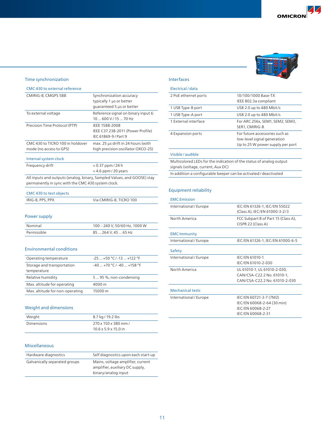#### Time synchronization

CMC 430 to external reference

| CMIRIG-B, CMGPS 588                                         | Synchronization accuracy<br>typically 1 us or better<br>quaranteed 5 µs or better |
|-------------------------------------------------------------|-----------------------------------------------------------------------------------|
| To external voltage                                         | Reference signal on binary input 6:<br>$10600$ V / $1570$ Hz                      |
| Precision Time Protocol (PTP)                               | IEEE 1588-2008<br>IEEE C37.238-2011 (Power Profile)<br>IEC 61869-9 / Part 9       |
| CMC 430 to TICRO 100 in holdover<br>mode (no access to GPS) | max. 25 µs drift in 24 hours (with<br>high precision oscillator OXCO-25)          |
| Internal system clock                                       |                                                                                   |
| Frequency drift                                             | $< 0.37$ ppm / 24 h<br>$<$ 4.6 ppm / 20 years                                     |

All inputs and outputs (analog, binary, Sampled Values, and GOOSE) stay permanently in sync with the CMC 430 system clock.

| CMC 430 to test objects |                         |
|-------------------------|-------------------------|
| IRIG-B, PPS, PPX        | Via CMIRIG-B, TICRO 100 |

### Power supply

| Nominal     | 100 - 240 V, 50/60 Hz, 1000 W |
|-------------|-------------------------------|
| Permissible | 85  264 V, 45  65 Hz          |

#### Environmental conditions

| Operating temperature                     | $-25$ $+50$ °C / -13 $+122$ °F   |
|-------------------------------------------|----------------------------------|
| Storage and transportation<br>temperature | $-40$ $+70$ °C / $-40$ $+158$ °F |
| Relative humidity                         | 5 95 %, non-condensing           |
| Max. altitude for operating               | 4000 m                           |
| Max. altitude for non-operating           | 15000 m                          |

#### Weight and dimensions

| Weight            | 8.7 kg / 19.2 lbs                |
|-------------------|----------------------------------|
| <b>Dimensions</b> | 270 x 150 x 380 mm /             |
|                   | $10.6 \times 5.9 \times 15.0$ in |

### Miscellaneous

| Hardware diagnostics          | Self diagnostics upon each start-up                                                         |
|-------------------------------|---------------------------------------------------------------------------------------------|
| Galvanically separated groups | Mains, voltage amplifier, current<br>amplifier, auxiliary DC supply,<br>binary/analog input |
|                               |                                                                                             |

#### Interfaces

#### Electrical /data

| 2 PoE ethernet ports | 10/100/1000 Base-TX<br>IEEE 802.3a compliant                                                      |
|----------------------|---------------------------------------------------------------------------------------------------|
| 1 USB Type-B port    | USB 2.0 up to 480 Mbit/s                                                                          |
| 1 USB Type-A port    | USB 2.0 up to 480 Mbit/s                                                                          |
| 1 External interface | For ARC 256x, SEM1, SEM2, SEM3,<br>SER1, CMIRIG-B                                                 |
| 4 Expansion ports    | For future accessories such as<br>low-level signal generation<br>Up to 25 W power supply per port |
| Visible / audible    |                                                                                                   |

Multicolored LEDs for the indication of the status of analog output signals (voltage, current, Aux DC)

In addition a configurable beeper can be activated / deactivated

#### Equipment reliability

| IEC/EN 61326-1, IEC/EN 55022<br>(Class A), IEC/EN 61000-3-2/3                                  |
|------------------------------------------------------------------------------------------------|
| FCC Subpart B of Part 15 (Class A),<br>CISPR 22 (Class A)                                      |
|                                                                                                |
| IEC/EN 61326-1, IEC/EN 61000-6-5                                                               |
|                                                                                                |
| IFC/FN 61010-1<br>IEC/EN 61010-2-030                                                           |
| UL 61010-1, UL 61010-2-030,<br>CAN/CSA-C22.2 No. 61010-1,<br>CAN/CSA-C22.2 No. 61010-2-030     |
|                                                                                                |
| IEC/EN 60721-3-7 (7M2)<br>IEC/EN 60068-2-64 (30 min)<br>IFC/FN 60068-2-27<br>IEC/EN 60068-2-31 |
|                                                                                                |